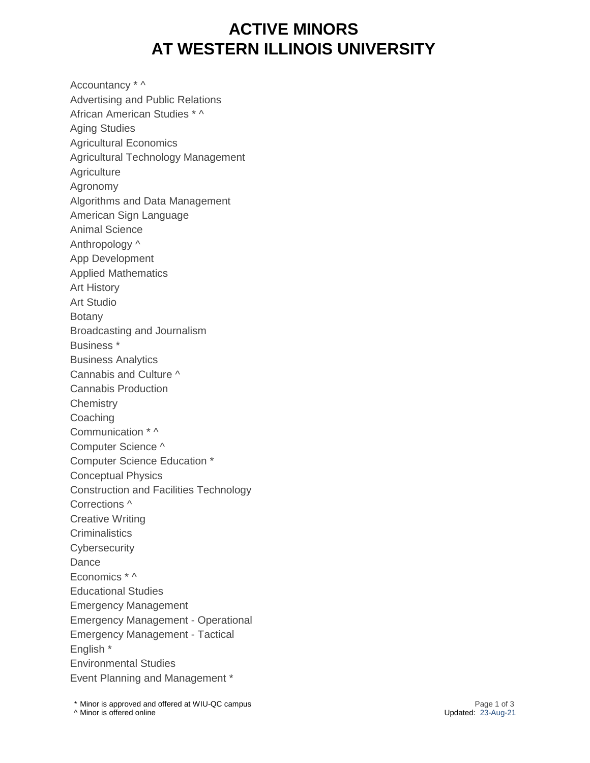## **ACTIVE MINORS AT WESTERN ILLINOIS UNIVERSITY**

Accountancy \* ^ Advertising and Public Relations African American Studies \* ^ Aging Studies Agricultural Economics Agricultural Technology Management **Agriculture** Agronomy Algorithms and Data Management American Sign Language Animal Science Anthropology ^ App Development Applied Mathematics Art History Art Studio Botany Broadcasting and Journalism Business \* Business Analytics Cannabis and Culture ^ Cannabis Production **Chemistry Coaching** Communication \* ^ Computer Science ^ Computer Science Education \* Conceptual Physics Construction and Facilities Technology Corrections ^ Creative Writing **Criminalistics Cybersecurity** Dance Economics \* ^ Educational Studies Emergency Management Emergency Management - Operational Emergency Management - Tactical English \* Environmental Studies Event Planning and Management \*

\* Minor is approved and offered at WIU-QC campus Page 1 of 3  $\land$  Minor is offered online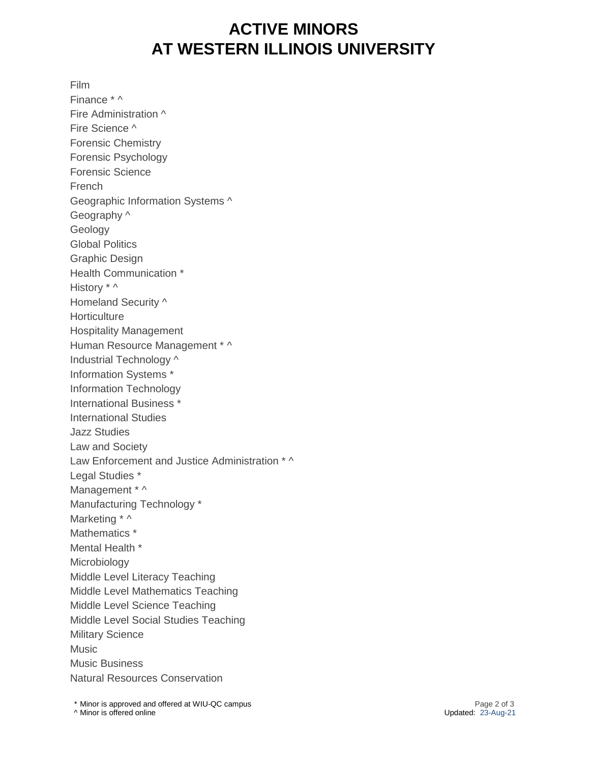## **ACTIVE MINORS AT WESTERN ILLINOIS UNIVERSITY**

Film

Finance \* ^ Fire Administration ^ Fire Science ^ Forensic Chemistry Forensic Psychology Forensic Science French Geographic Information Systems ^ Geography ^ Geology Global Politics Graphic Design Health Communication \* History \* ^ Homeland Security ^ **Horticulture** Hospitality Management Human Resource Management \* ^ Industrial Technology ^ Information Systems \* Information Technology International Business \* International Studies Jazz Studies Law and Society Law Enforcement and Justice Administration \* ^ Legal Studies \* Management \* ^ Manufacturing Technology \* Marketing \* ^ Mathematics \* Mental Health \* Microbiology Middle Level Literacy Teaching Middle Level Mathematics Teaching Middle Level Science Teaching Middle Level Social Studies Teaching Military Science **Music** Music Business Natural Resources Conservation

\* Minor is approved and offered at WIU-QC campus Page 2 of 3  $\land$  Minor is offered online